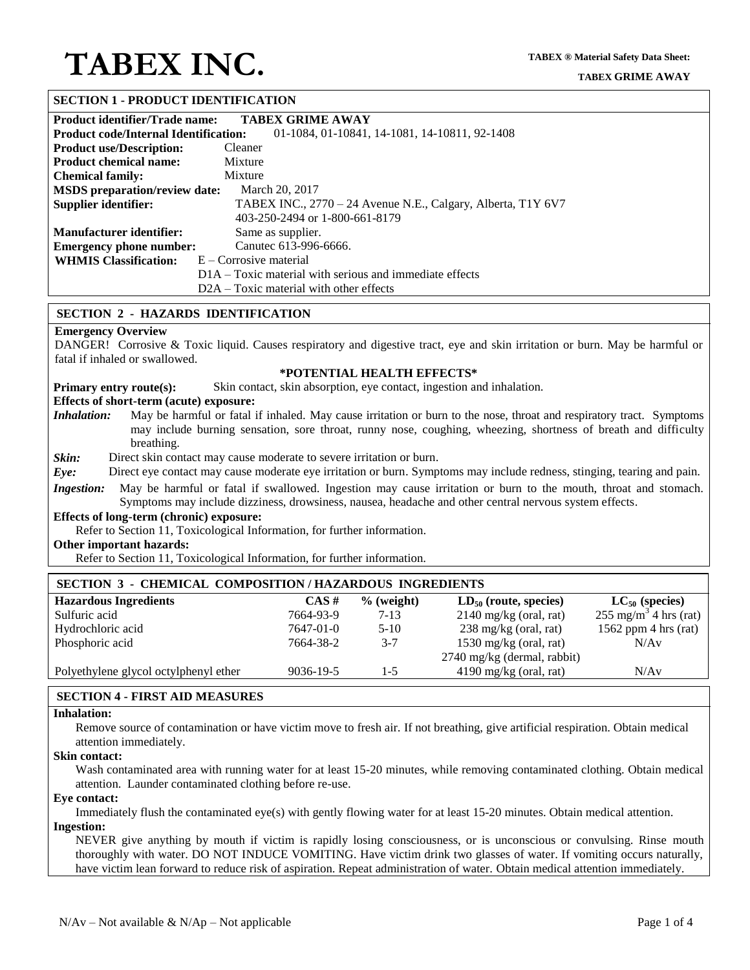### **SECTION 1 - PRODUCT IDENTIFICATION**

| <b>Product identifier/Trade name:</b>                                                         | <b>TABEX GRIME AWAY</b>                                      |  |  |
|-----------------------------------------------------------------------------------------------|--------------------------------------------------------------|--|--|
| <b>Product code/Internal Identification:</b><br>01-1084, 01-10841, 14-1081, 14-10811, 92-1408 |                                                              |  |  |
| <b>Product use/Description:</b>                                                               | Cleaner                                                      |  |  |
| <b>Product chemical name:</b>                                                                 | Mixture                                                      |  |  |
| <b>Chemical family:</b>                                                                       | Mixture                                                      |  |  |
| <b>MSDS</b> preparation/review date:                                                          | March 20, 2017                                               |  |  |
| Supplier identifier:                                                                          | TABEX INC., 2770 – 24 Avenue N.E., Calgary, Alberta, T1Y 6V7 |  |  |
|                                                                                               | 403-250-2494 or 1-800-661-8179                               |  |  |
| <b>Manufacturer identifier:</b>                                                               | Same as supplier.                                            |  |  |
| <b>Emergency phone number:</b>                                                                | Canutec 613-996-6666.                                        |  |  |
| <b>WHMIS Classification:</b>                                                                  | $E -$ Corrosive material                                     |  |  |
|                                                                                               | $D1A - Toxic material with serious and immediate effects$    |  |  |
|                                                                                               | $D2A - Toxic material with other effects$                    |  |  |

#### **SECTION 2 - HAZARDS IDENTIFICATION**

## **Emergency Overview**

DANGER! Corrosive & Toxic liquid. Causes respiratory and digestive tract, eye and skin irritation or burn. May be harmful or fatal if inhaled or swallowed.

#### **\*POTENTIAL HEALTH EFFECTS\***

**Primary entry route(s):** Skin contact, skin absorption, eye contact, ingestion and inhalation.

#### **Effects of short-term (acute) exposure:**

*Inhalation:* May be harmful or fatal if inhaled. May cause irritation or burn to the nose, throat and respiratory tract. Symptoms may include burning sensation, sore throat, runny nose, coughing, wheezing, shortness of breath and difficulty breathing.

*Skin:* Direct skin contact may cause moderate to severe irritation or burn.

*Eye:* Direct eye contact may cause moderate eye irritation or burn. Symptoms may include redness, stinging, tearing and pain.

*Ingestion:* May be harmful or fatal if swallowed. Ingestion may cause irritation or burn to the mouth, throat and stomach. Symptoms may include dizziness, drowsiness, nausea, headache and other central nervous system effects.

#### **Effects of long-term (chronic) exposure:**

Refer to Section 11, Toxicological Information, for further information.

### **Other important hazards:**

Refer to Section 11, Toxicological Information, for further information.

| <b>SECTION 3 - CHEMICAL COMPOSITION/HAZARDOUS INGREDIENTS</b> |           |              |                                 |                                              |  |  |
|---------------------------------------------------------------|-----------|--------------|---------------------------------|----------------------------------------------|--|--|
| <b>Hazardous Ingredients</b>                                  | $CAS \#$  | $%$ (weight) | $LD_{50}$ (route, species)      | $LC_{50}$ (species)                          |  |  |
| Sulfuric acid                                                 | 7664-93-9 | $7 - 13$     | $2140$ mg/kg (oral, rat)        | $255 \text{ mg/m}^3$ <sup>-4</sup> hrs (rat) |  |  |
| Hydrochloric acid                                             | 7647-01-0 | $5 - 10$     | $238 \text{ mg/kg}$ (oral, rat) | 1562 ppm $4 \text{ hrs} (\text{rat})$        |  |  |
| Phosphoric acid                                               | 7664-38-2 | $3 - 7$      | 1530 mg/kg (oral, rat)          | N/Av                                         |  |  |
|                                                               |           |              | 2740 mg/kg (dermal, rabbit)     |                                              |  |  |
| Polyethylene glycol octylphenyl ether                         | 9036-19-5 | 1-5          | $4190$ mg/kg (oral, rat)        | N/Av                                         |  |  |

# **SECTION 4 - FIRST AID MEASURES**

#### **Inhalation:**

Remove source of contamination or have victim move to fresh air. If not breathing, give artificial respiration. Obtain medical attention immediately.

#### **Skin contact:**

Wash contaminated area with running water for at least 15-20 minutes, while removing contaminated clothing. Obtain medical attention. Launder contaminated clothing before re-use.

#### **Eye contact:**

Immediately flush the contaminated eye(s) with gently flowing water for at least 15-20 minutes. Obtain medical attention. **Ingestion:**

NEVER give anything by mouth if victim is rapidly losing consciousness, or is unconscious or convulsing. Rinse mouth thoroughly with water. DO NOT INDUCE VOMITING. Have victim drink two glasses of water. If vomiting occurs naturally, have victim lean forward to reduce risk of aspiration. Repeat administration of water. Obtain medical attention immediately.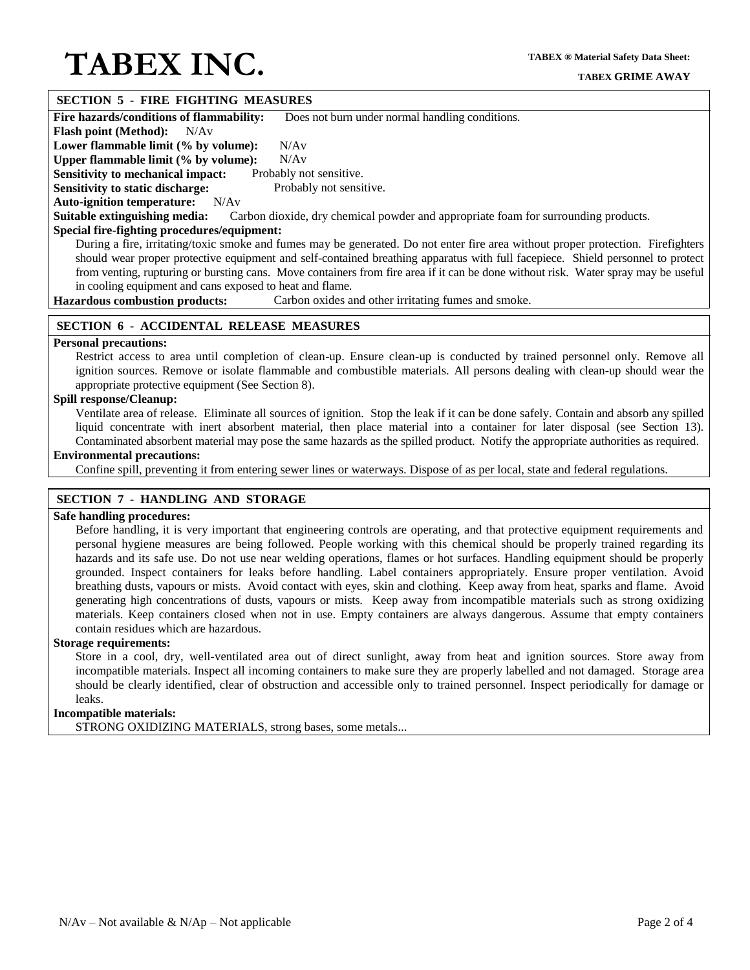### **SECTION 5 - FIRE FIGHTING MEASURES**

**Fire hazards/conditions of flammability:** Does not burn under normal handling conditions.

**Flash point (Method):** N/Av

Lower flammable limit (% by volume): N/Av

**Upper flammable limit (% by volume):** N/Av

**Sensitivity to mechanical impact:** Probably not sensitive. **Sensitivity to static discharge:** Probably not sensitive.

**Auto-ignition temperature:** N/Av

**Suitable extinguishing media:** Carbon dioxide, dry chemical powder and appropriate foam for surrounding products.

# **Special fire-fighting procedures/equipment:**

During a fire, irritating/toxic smoke and fumes may be generated. Do not enter fire area without proper protection. Firefighters should wear proper protective equipment and self-contained breathing apparatus with full facepiece. Shield personnel to protect from venting, rupturing or bursting cans. Move containers from fire area if it can be done without risk. Water spray may be useful in cooling equipment and cans exposed to heat and flame.

**Hazardous combustion products:** Carbon oxides and other irritating fumes and smoke.

### **SECTION 6 - ACCIDENTAL RELEASE MEASURES**

#### **Personal precautions:**

Restrict access to area until completion of clean-up. Ensure clean-up is conducted by trained personnel only. Remove all ignition sources. Remove or isolate flammable and combustible materials. All persons dealing with clean-up should wear the appropriate protective equipment (See Section 8).

# **Spill response/Cleanup:**

Ventilate area of release. Eliminate all sources of ignition. Stop the leak if it can be done safely. Contain and absorb any spilled liquid concentrate with inert absorbent material, then place material into a container for later disposal (see Section 13). Contaminated absorbent material may pose the same hazards as the spilled product. Notify the appropriate authorities as required.

# **Environmental precautions:**

Confine spill, preventing it from entering sewer lines or waterways. Dispose of as per local, state and federal regulations.

# **SECTION 7 - HANDLING AND STORAGE**

#### **Safe handling procedures:**

Before handling, it is very important that engineering controls are operating, and that protective equipment requirements and personal hygiene measures are being followed. People working with this chemical should be properly trained regarding its hazards and its safe use. Do not use near welding operations, flames or hot surfaces. Handling equipment should be properly grounded. Inspect containers for leaks before handling. Label containers appropriately. Ensure proper ventilation. Avoid breathing dusts, vapours or mists. Avoid contact with eyes, skin and clothing. Keep away from heat, sparks and flame. Avoid generating high concentrations of dusts, vapours or mists. Keep away from incompatible materials such as strong oxidizing materials. Keep containers closed when not in use. Empty containers are always dangerous. Assume that empty containers contain residues which are hazardous.

#### **Storage requirements:**

Store in a cool, dry, well-ventilated area out of direct sunlight, away from heat and ignition sources. Store away from incompatible materials. Inspect all incoming containers to make sure they are properly labelled and not damaged. Storage area should be clearly identified, clear of obstruction and accessible only to trained personnel. Inspect periodically for damage or leaks.

### **Incompatible materials:**

STRONG OXIDIZING MATERIALS, strong bases, some metals...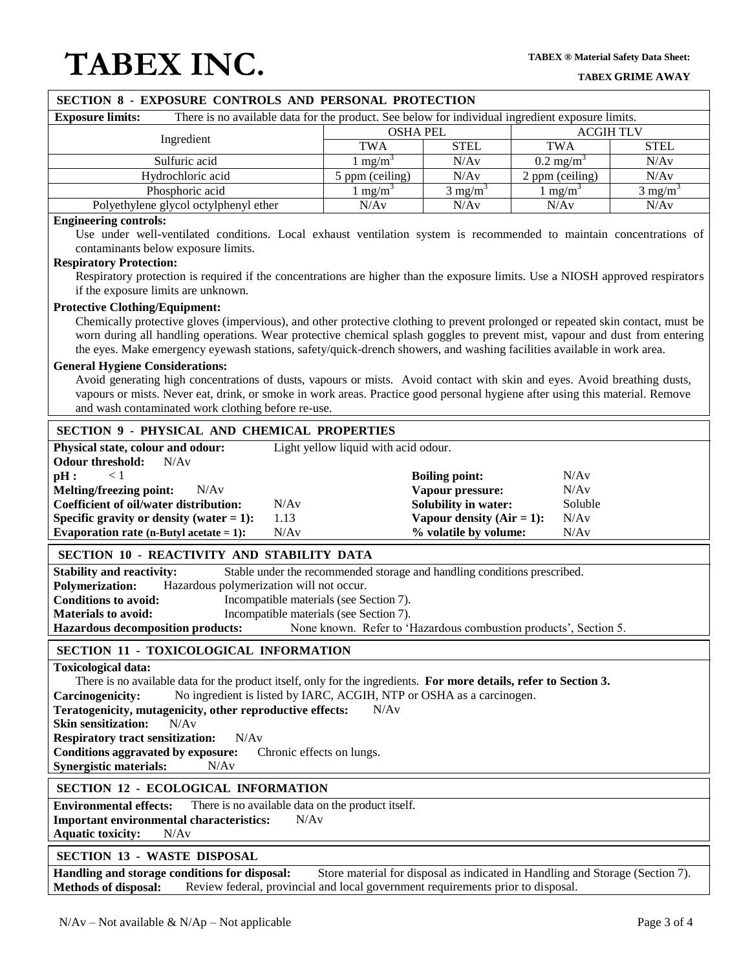| SECTION 8 - EXPOSURE CONTROLS AND PERSONAL PROTECTION                                                                                                                                                                                                                                                                                                                                                                                                                                                                                                                                                                                                                                                                                                                                          |                                      |                                                                                                                                   |                                         |                            |  |
|------------------------------------------------------------------------------------------------------------------------------------------------------------------------------------------------------------------------------------------------------------------------------------------------------------------------------------------------------------------------------------------------------------------------------------------------------------------------------------------------------------------------------------------------------------------------------------------------------------------------------------------------------------------------------------------------------------------------------------------------------------------------------------------------|--------------------------------------|-----------------------------------------------------------------------------------------------------------------------------------|-----------------------------------------|----------------------------|--|
| There is no available data for the product. See below for individual ingredient exposure limits.<br><b>Exposure limits:</b>                                                                                                                                                                                                                                                                                                                                                                                                                                                                                                                                                                                                                                                                    |                                      |                                                                                                                                   |                                         |                            |  |
| Ingredient                                                                                                                                                                                                                                                                                                                                                                                                                                                                                                                                                                                                                                                                                                                                                                                     | <b>OSHA PEL</b>                      |                                                                                                                                   | <b>ACGIH TLV</b>                        |                            |  |
|                                                                                                                                                                                                                                                                                                                                                                                                                                                                                                                                                                                                                                                                                                                                                                                                | <b>TWA</b>                           | <b>STEL</b>                                                                                                                       | <b>TWA</b>                              | <b>STEL</b>                |  |
| Sulfuric acid                                                                                                                                                                                                                                                                                                                                                                                                                                                                                                                                                                                                                                                                                                                                                                                  | 1 mg/m $3$                           | N/Av                                                                                                                              | $0.2 \text{ mg/m}^3$                    | N/Av                       |  |
| Hydrochloric acid                                                                                                                                                                                                                                                                                                                                                                                                                                                                                                                                                                                                                                                                                                                                                                              | 5 ppm (ceiling)                      | N/Av                                                                                                                              | 2 ppm (ceiling)                         | N/Av                       |  |
| Phosphoric acid<br>Polyethylene glycol octylphenyl ether                                                                                                                                                                                                                                                                                                                                                                                                                                                                                                                                                                                                                                                                                                                                       | 1 mg/m <sup>3</sup><br>N/Av          | $\frac{1}{3}$ mg/m <sup>3</sup><br>N/Av                                                                                           | 1 mg/m <sup>3</sup><br>N/Av             | $3 \text{ mg/m}^3$<br>N/Av |  |
| <b>Engineering controls:</b>                                                                                                                                                                                                                                                                                                                                                                                                                                                                                                                                                                                                                                                                                                                                                                   |                                      |                                                                                                                                   |                                         |                            |  |
| Use under well-ventilated conditions. Local exhaust ventilation system is recommended to maintain concentrations of<br>contaminants below exposure limits.<br><b>Respiratory Protection:</b><br>Respiratory protection is required if the concentrations are higher than the exposure limits. Use a NIOSH approved respirators<br>if the exposure limits are unknown.                                                                                                                                                                                                                                                                                                                                                                                                                          |                                      |                                                                                                                                   |                                         |                            |  |
| <b>Protective Clothing/Equipment:</b><br>Chemically protective gloves (impervious), and other protective clothing to prevent prolonged or repeated skin contact, must be<br>worn during all handling operations. Wear protective chemical splash goggles to prevent mist, vapour and dust from entering<br>the eyes. Make emergency eyewash stations, safety/quick-drench showers, and washing facilities available in work area.<br><b>General Hygiene Considerations:</b><br>Avoid generating high concentrations of dusts, vapours or mists. Avoid contact with skin and eyes. Avoid breathing dusts,<br>vapours or mists. Never eat, drink, or smoke in work areas. Practice good personal hygiene after using this material. Remove<br>and wash contaminated work clothing before re-use. |                                      |                                                                                                                                   |                                         |                            |  |
| <b>SECTION 9 - PHYSICAL AND CHEMICAL PROPERTIES</b>                                                                                                                                                                                                                                                                                                                                                                                                                                                                                                                                                                                                                                                                                                                                            |                                      |                                                                                                                                   |                                         |                            |  |
| Physical state, colour and odour:<br><b>Odour threshold:</b><br>N/Av<br>< 1<br>pH:<br><b>Melting/freezing point:</b><br>N/Av<br><b>Coefficient of oil/water distribution:</b><br>N/Av<br>Specific gravity or density (water $= 1$ ):<br>1.13<br>Evaporation rate (n-Butyl acetate $= 1$ ):<br>N/Av                                                                                                                                                                                                                                                                                                                                                                                                                                                                                             | Light yellow liquid with acid odour. | <b>Boiling point:</b><br>Vapour pressure:<br><b>Solubility in water:</b><br>Vapour density $(Air = 1)$ :<br>% volatile by volume: | N/Av<br>N/Av<br>Soluble<br>N/Av<br>N/Av |                            |  |
| SECTION 10 - REACTIVITY AND STABILITY DATA                                                                                                                                                                                                                                                                                                                                                                                                                                                                                                                                                                                                                                                                                                                                                     |                                      |                                                                                                                                   |                                         |                            |  |
| Stable under the recommended storage and handling conditions prescribed.<br><b>Stability and reactivity:</b><br>Hazardous polymerization will not occur.<br><b>Polymerization:</b><br><b>Conditions to avoid:</b><br>Incompatible materials (see Section 7).<br>Incompatible materials (see Section 7).<br><b>Materials to avoid:</b><br>None known. Refer to 'Hazardous combustion products', Section 5.<br><b>Hazardous decomposition products:</b>                                                                                                                                                                                                                                                                                                                                          |                                      |                                                                                                                                   |                                         |                            |  |
| <b>SECTION 11 - TOXICOLOGICAL INFORMATION</b>                                                                                                                                                                                                                                                                                                                                                                                                                                                                                                                                                                                                                                                                                                                                                  |                                      |                                                                                                                                   |                                         |                            |  |
| <b>Toxicological data:</b><br>There is no available data for the product itself, only for the ingredients. For more details, refer to Section 3.<br>No ingredient is listed by IARC, ACGIH, NTP or OSHA as a carcinogen.<br><b>Carcinogenicity:</b><br>Teratogenicity, mutagenicity, other reproductive effects:<br>N/Av<br><b>Skin sensitization:</b><br>N/Av<br>N/Av<br><b>Respiratory tract sensitization:</b><br>Conditions aggravated by exposure:<br>Chronic effects on lungs.<br><b>Synergistic materials:</b><br>N/Av                                                                                                                                                                                                                                                                  |                                      |                                                                                                                                   |                                         |                            |  |
| <b>SECTION 12 - ECOLOGICAL INFORMATION</b>                                                                                                                                                                                                                                                                                                                                                                                                                                                                                                                                                                                                                                                                                                                                                     |                                      |                                                                                                                                   |                                         |                            |  |
| <b>Environmental effects:</b><br>There is no available data on the product itself.<br><b>Important environmental characteristics:</b><br>N/Av<br><b>Aquatic toxicity:</b><br>N/Av                                                                                                                                                                                                                                                                                                                                                                                                                                                                                                                                                                                                              |                                      |                                                                                                                                   |                                         |                            |  |
| <b>SECTION 13 - WASTE DISPOSAL</b>                                                                                                                                                                                                                                                                                                                                                                                                                                                                                                                                                                                                                                                                                                                                                             |                                      |                                                                                                                                   |                                         |                            |  |
| Handling and storage conditions for disposal:<br>Store material for disposal as indicated in Handling and Storage (Section 7).<br><b>Methods of disposal:</b><br>Review federal, provincial and local government requirements prior to disposal.                                                                                                                                                                                                                                                                                                                                                                                                                                                                                                                                               |                                      |                                                                                                                                   |                                         |                            |  |